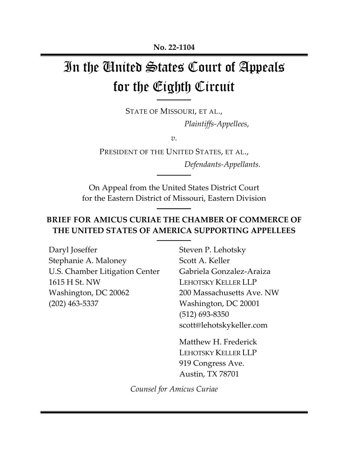# In the United States Court of Appeals for the Eighth Circuit

STATE OF MISSOURI, ET AL., *Plaintiffs-Appellees*,

*v.*

PRESIDENT OF THE UNITED STATES, ET AL., *Defendants-Appellants.*

On Appeal from the United States District Court for the Eastern District of Missouri, Eastern Division

## **BRIEF FOR AMICUS CURIAE THE CHAMBER OF COMMERCE OF THE UNITED STATES OF AMERICA SUPPORTING APPELLEES**

Daryl Joseffer Stephanie A. Maloney U.S. Chamber Litigation Center 1615 H St. NW Washington, DC 20062 (202) 463-5337

Steven P. Lehotsky Scott A. Keller Gabriela Gonzalez-Araiza LEHOTSKY KELLER LLP 200 Massachusetts Ave. NW Washington, DC 20001 (512) 693-8350 scott@lehotskykeller.com

Matthew H. Frederick LEHOTSKY KELLER LLP 919 Congress Ave. Austin, TX 78701

*Counsel for Amicus Curiae*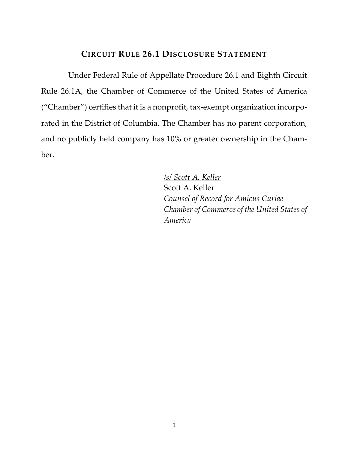### **CIRCUIT RULE 26.1 DISCLOSURE STATEMENT**

Under Federal Rule of Appellate Procedure 26.1 and Eighth Circuit Rule 26.1A, the Chamber of Commerce of the United States of America ("Chamber") certifies that it is a nonprofit, tax-exempt organization incorporated in the District of Columbia. The Chamber has no parent corporation, and no publicly held company has 10% or greater ownership in the Chamber.

> */s/ Scott A. Keller* Scott A. Keller *Counsel of Record for Amicus Curiae Chamber of Commerce of the United States of America*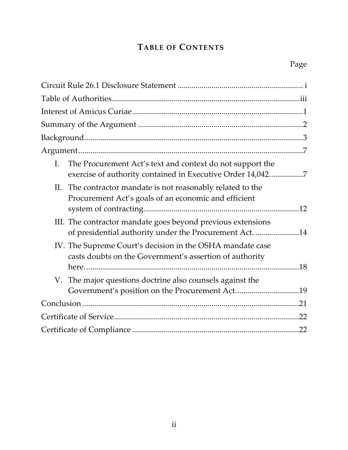# **TABLE OF CONTENTS**

| The Procurement Act's text and context do not support the<br>$\mathbf{I}$ .<br>exercise of authority contained in Executive Order 14,0427 |     |
|-------------------------------------------------------------------------------------------------------------------------------------------|-----|
| II. The contractor mandate is not reasonably related to the<br>Procurement Act's goals of an economic and efficient                       |     |
| III. The contractor mandate goes beyond previous extensions<br>of presidential authority under the Procurement Act. 14                    |     |
| IV. The Supreme Court's decision in the OSHA mandate case<br>casts doubts on the Government's assertion of authority                      |     |
| V. The major questions doctrine also counsels against the<br>Government's position on the Procurement Act19                               |     |
|                                                                                                                                           |     |
|                                                                                                                                           |     |
|                                                                                                                                           | .22 |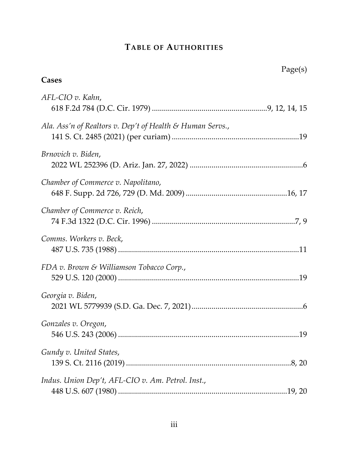# **TABLE OF AUTHORITIES**

| Cases                                                     | Page(s) |
|-----------------------------------------------------------|---------|
| AFL-CIO v. Kahn,                                          |         |
| Ala. Ass'n of Realtors v. Dep't of Health & Human Servs., |         |
| Brnovich v. Biden,                                        |         |
| Chamber of Commerce v. Napolitano,                        |         |
| Chamber of Commerce v. Reich,                             |         |
| Comms. Workers v. Beck,                                   |         |
| FDA v. Brown & Williamson Tobacco Corp.,                  |         |
| Georgia v. Biden,                                         |         |
| Gonzales v. Oregon,                                       |         |
| Gundy v. United States,                                   |         |
| Indus. Union Dep't, AFL-CIO v. Am. Petrol. Inst.,         |         |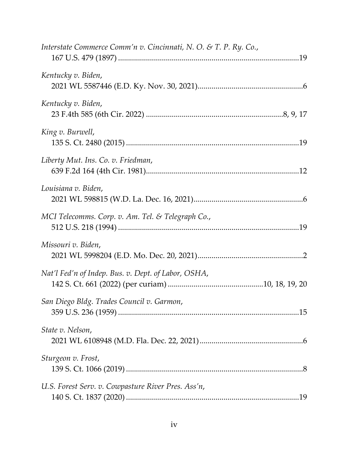| Interstate Commerce Comm'n v. Cincinnati, N. O. & T. P. Ry. Co., |  |
|------------------------------------------------------------------|--|
| Kentucky v. Biden,                                               |  |
| Kentucky v. Biden,                                               |  |
| King v. Burwell,                                                 |  |
| Liberty Mut. Ins. Co. v. Friedman,                               |  |
| Louisiana v. Biden,                                              |  |
| MCI Telecomms. Corp. v. Am. Tel. & Telegraph Co.,                |  |
| Missouri v. Biden,                                               |  |
| Nat'l Fed'n of Indep. Bus. v. Dept. of Labor, OSHA,              |  |
| San Diego Bldg. Trades Council v. Garmon,                        |  |
| State v. Nelson,                                                 |  |
| Sturgeon v. Frost,                                               |  |
| U.S. Forest Serv. v. Cowpasture River Pres. Ass'n,               |  |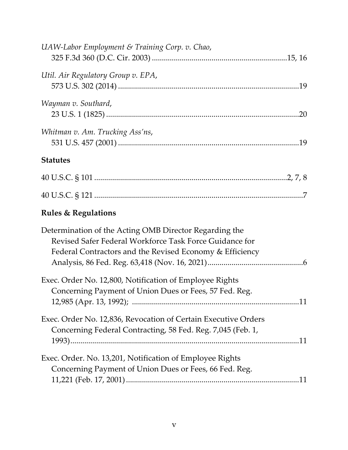| UAW-Labor Employment & Training Corp. v. Chao,                                                                                                                                |  |
|-------------------------------------------------------------------------------------------------------------------------------------------------------------------------------|--|
| Util. Air Regulatory Group v. EPA,                                                                                                                                            |  |
| Wayman v. Southard,                                                                                                                                                           |  |
| Whitman v. Am. Trucking Ass'ns,                                                                                                                                               |  |
| <b>Statutes</b>                                                                                                                                                               |  |
|                                                                                                                                                                               |  |
|                                                                                                                                                                               |  |
| <b>Rules &amp; Regulations</b>                                                                                                                                                |  |
| Determination of the Acting OMB Director Regarding the<br>Revised Safer Federal Workforce Task Force Guidance for<br>Federal Contractors and the Revised Economy & Efficiency |  |
| Exec. Order No. 12,800, Notification of Employee Rights<br>Concerning Payment of Union Dues or Fees, 57 Fed. Reg.                                                             |  |
| Exec. Order No. 12,836, Revocation of Certain Executive Orders<br>Concerning Federal Contracting, 58 Fed. Reg. 7,045 (Feb. 1,                                                 |  |
| Exec. Order. No. 13,201, Notification of Employee Rights<br>Concerning Payment of Union Dues or Fees, 66 Fed. Reg.                                                            |  |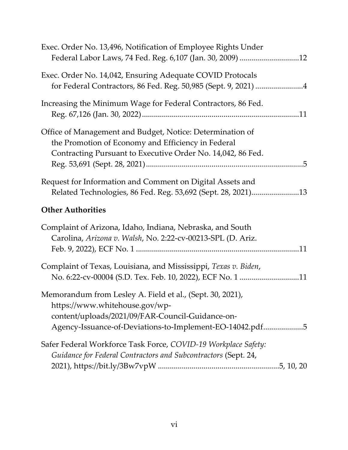| Exec. Order No. 13,496, Notification of Employee Rights Under<br>Federal Labor Laws, 74 Fed. Reg. 6,107 (Jan. 30, 2009) 12                                                                                  |  |
|-------------------------------------------------------------------------------------------------------------------------------------------------------------------------------------------------------------|--|
| Exec. Order No. 14,042, Ensuring Adequate COVID Protocals<br>for Federal Contractors, 86 Fed. Reg. 50,985 (Sept. 9, 2021) 4                                                                                 |  |
| Increasing the Minimum Wage for Federal Contractors, 86 Fed.                                                                                                                                                |  |
| Office of Management and Budget, Notice: Determination of<br>the Promotion of Economy and Efficiency in Federal<br>Contracting Pursuant to Executive Order No. 14,042, 86 Fed.                              |  |
| Request for Information and Comment on Digital Assets and<br>Related Technologies, 86 Fed. Reg. 53,692 (Sept. 28, 2021)13                                                                                   |  |
| <b>Other Authorities</b>                                                                                                                                                                                    |  |
| Complaint of Arizona, Idaho, Indiana, Nebraska, and South<br>Carolina, Arizona v. Walsh, No. 2:22-cv-00213-SPL (D. Ariz.                                                                                    |  |
| Complaint of Texas, Louisiana, and Mississippi, Texas v. Biden,<br>No. 6:22-cv-00004 (S.D. Tex. Feb. 10, 2022), ECF No. 1 11                                                                                |  |
| Memorandum from Lesley A. Field et al., (Sept. 30, 2021),<br>https://www.whitehouse.gov/wp-<br>content/uploads/2021/09/FAR-Council-Guidance-on-<br>Agency-Issuance-of-Deviations-to-Implement-EO-14042.pdf5 |  |
| Safer Federal Workforce Task Force, COVID-19 Workplace Safety:<br>Guidance for Federal Contractors and Subcontractors (Sept. 24,                                                                            |  |
|                                                                                                                                                                                                             |  |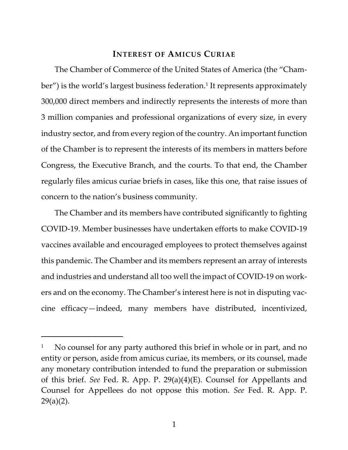### **INTEREST OF AMICUS CURIAE**

The Chamber of Commerce of the United States of America (the "Chamber") is the world's largest business federation.<sup>1</sup> It represents approximately 300,000 direct members and indirectly represents the interests of more than 3 million companies and professional organizations of every size, in every industry sector, and from every region of the country. An important function of the Chamber is to represent the interests of its members in matters before Congress, the Executive Branch, and the courts. To that end, the Chamber regularly files amicus curiae briefs in cases, like this one, that raise issues of concern to the nation's business community.

The Chamber and its members have contributed significantly to fighting COVID-19. Member businesses have undertaken efforts to make COVID-19 vaccines available and encouraged employees to protect themselves against this pandemic. The Chamber and its members represent an array of interests and industries and understand all too well the impact of COVID-19 on workers and on the economy. The Chamber's interest here is not in disputing vaccine efficacy—indeed, many members have distributed, incentivized,

No counsel for any party authored this brief in whole or in part, and no entity or person, aside from amicus curiae, its members, or its counsel, made any monetary contribution intended to fund the preparation or submission of this brief. *See* Fed. R. App. P. 29(a)(4)(E). Counsel for Appellants and Counsel for Appellees do not oppose this motion. *See* Fed. R. App. P. 29(a)(2).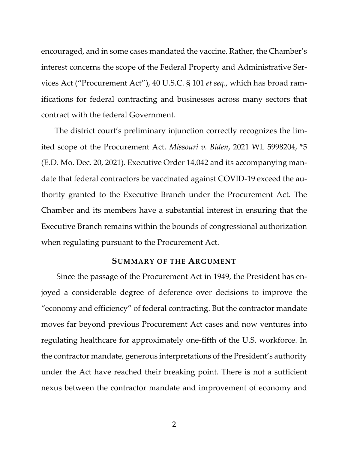encouraged, and in some cases mandated the vaccine. Rather, the Chamber's interest concerns the scope of the Federal Property and Administrative Services Act ("Procurement Act"), 40 U.S.C. § 101 *et seq*., which has broad ramifications for federal contracting and businesses across many sectors that contract with the federal Government.

The district court's preliminary injunction correctly recognizes the limited scope of the Procurement Act. *Missouri v. Biden*, 2021 WL 5998204, \*5 (E.D. Mo. Dec. 20, 2021). Executive Order 14,042 and its accompanying mandate that federal contractors be vaccinated against COVID-19 exceed the authority granted to the Executive Branch under the Procurement Act. The Chamber and its members have a substantial interest in ensuring that the Executive Branch remains within the bounds of congressional authorization when regulating pursuant to the Procurement Act.

#### **SUMMARY OF THE ARGUMENT**

Since the passage of the Procurement Act in 1949, the President has enjoyed a considerable degree of deference over decisions to improve the "economy and efficiency" of federal contracting. But the contractor mandate moves far beyond previous Procurement Act cases and now ventures into regulating healthcare for approximately one-fifth of the U.S. workforce. In the contractor mandate, generous interpretations of the President's authority under the Act have reached their breaking point. There is not a sufficient nexus between the contractor mandate and improvement of economy and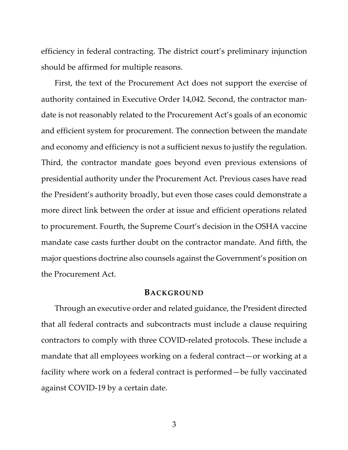efficiency in federal contracting. The district court's preliminary injunction should be affirmed for multiple reasons.

First, the text of the Procurement Act does not support the exercise of authority contained in Executive Order 14,042. Second, the contractor mandate is not reasonably related to the Procurement Act's goals of an economic and efficient system for procurement. The connection between the mandate and economy and efficiency is not a sufficient nexus to justify the regulation. Third, the contractor mandate goes beyond even previous extensions of presidential authority under the Procurement Act. Previous cases have read the President's authority broadly, but even those cases could demonstrate a more direct link between the order at issue and efficient operations related to procurement. Fourth, the Supreme Court's decision in the OSHA vaccine mandate case casts further doubt on the contractor mandate. And fifth, the major questions doctrine also counsels against the Government's position on the Procurement Act.

#### **BACKGROUND**

Through an executive order and related guidance, the President directed that all federal contracts and subcontracts must include a clause requiring contractors to comply with three COVID-related protocols. These include a mandate that all employees working on a federal contract—or working at a facility where work on a federal contract is performed—be fully vaccinated against COVID-19 by a certain date.

3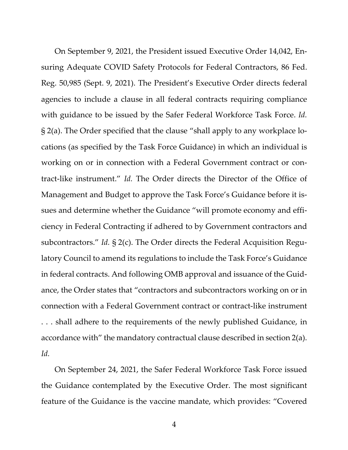On September 9, 2021, the President issued Executive Order 14,042, Ensuring Adequate COVID Safety Protocols for Federal Contractors, 86 Fed. Reg. 50,985 (Sept. 9, 2021). The President's Executive Order directs federal agencies to include a clause in all federal contracts requiring compliance with guidance to be issued by the Safer Federal Workforce Task Force. *Id.* § 2(a). The Order specified that the clause "shall apply to any workplace locations (as specified by the Task Force Guidance) in which an individual is working on or in connection with a Federal Government contract or contract-like instrument." *Id.* The Order directs the Director of the Office of Management and Budget to approve the Task Force's Guidance before it issues and determine whether the Guidance "will promote economy and efficiency in Federal Contracting if adhered to by Government contractors and subcontractors." *Id.* § 2(c). The Order directs the Federal Acquisition Regulatory Council to amend its regulations to include the Task Force's Guidance in federal contracts. And following OMB approval and issuance of the Guidance, the Order states that "contractors and subcontractors working on or in connection with a Federal Government contract or contract-like instrument . . . shall adhere to the requirements of the newly published Guidance, in accordance with" the mandatory contractual clause described in section 2(a). *Id.*

On September 24, 2021, the Safer Federal Workforce Task Force issued the Guidance contemplated by the Executive Order. The most significant feature of the Guidance is the vaccine mandate, which provides: "Covered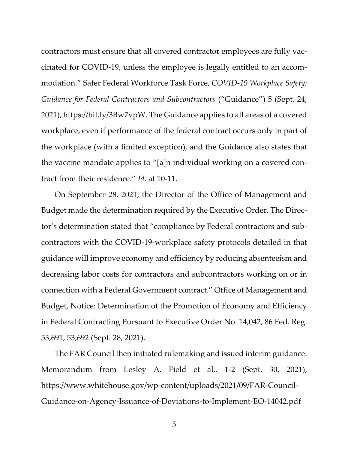contractors must ensure that all covered contractor employees are fully vaccinated for COVID-19, unless the employee is legally entitled to an accommodation." Safer Federal Workforce Task Force, *COVID-19 Workplace Safety: Guidance for Federal Contractors and Subcontractors* ("Guidance") 5 (Sept. 24, 2021), https://bit.ly/3Bw7vpW. The Guidance applies to all areas of a covered workplace, even if performance of the federal contract occurs only in part of the workplace (with a limited exception), and the Guidance also states that the vaccine mandate applies to "[a]n individual working on a covered contract from their residence." *Id.* at 10-11.

On September 28, 2021, the Director of the Office of Management and Budget made the determination required by the Executive Order. The Director's determination stated that "compliance by Federal contractors and subcontractors with the COVID-19-workplace safety protocols detailed in that guidance will improve economy and efficiency by reducing absenteeism and decreasing labor costs for contractors and subcontractors working on or in connection with a Federal Government contract." Office of Management and Budget, Notice: Determination of the Promotion of Economy and Efficiency in Federal Contracting Pursuant to Executive Order No. 14,042, 86 Fed. Reg. 53,691, 53,692 (Sept. 28, 2021).

The FAR Council then initiated rulemaking and issued interim guidance. Memorandum from Lesley A. Field et al., 1-2 (Sept. 30, 2021), https://www.whitehouse.gov/wp-content/uploads/2021/09/FAR-Council-Guidance-on-Agency-Issuance-of-Deviations-to-Implement-EO-14042.pdf

5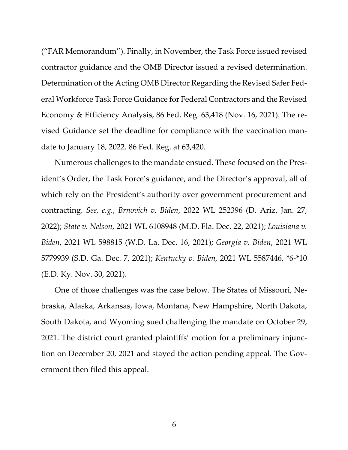("FAR Memorandum"). Finally, in November, the Task Force issued revised contractor guidance and the OMB Director issued a revised determination. Determination of the Acting OMB Director Regarding the Revised Safer Federal Workforce Task Force Guidance for Federal Contractors and the Revised Economy & Efficiency Analysis, 86 Fed. Reg. 63,418 (Nov. 16, 2021). The revised Guidance set the deadline for compliance with the vaccination mandate to January 18, 2022. 86 Fed. Reg. at 63,420.

Numerous challenges to the mandate ensued. These focused on the President's Order, the Task Force's guidance, and the Director's approval, all of which rely on the President's authority over government procurement and contracting. *See, e.g.*, *Brnovich v. Biden*, 2022 WL 252396 (D. Ariz. Jan. 27, 2022); *State v. Nelson*, 2021 WL 6108948 (M.D. Fla. Dec. 22, 2021); *Louisiana v. Biden*, 2021 WL 598815 (W.D. La. Dec. 16, 2021); *Georgia v. Biden*, 2021 WL 5779939 (S.D. Ga. Dec. 7, 2021); *Kentucky v. Biden,* 2021 WL 5587446, \*6-\*10 (E.D. Ky. Nov. 30, 2021).

One of those challenges was the case below. The States of Missouri, Nebraska, Alaska, Arkansas, Iowa, Montana, New Hampshire, North Dakota, South Dakota, and Wyoming sued challenging the mandate on October 29, 2021. The district court granted plaintiffs' motion for a preliminary injunction on December 20, 2021 and stayed the action pending appeal. The Government then filed this appeal.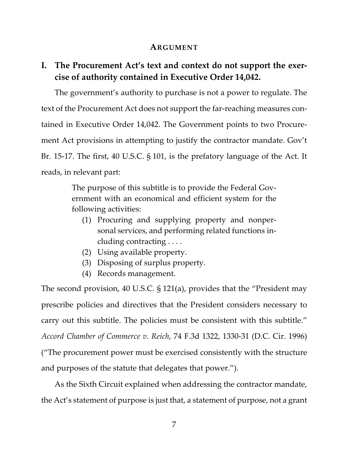### **ARGUMENT**

# **I. The Procurement Act's text and context do not support the exercise of authority contained in Executive Order 14,042.**

The government's authority to purchase is not a power to regulate. The text of the Procurement Act does not support the far-reaching measures contained in Executive Order 14,042. The Government points to two Procurement Act provisions in attempting to justify the contractor mandate. Gov't Br. 15-17. The first, 40 U.S.C. § 101, is the prefatory language of the Act. It reads, in relevant part:

> The purpose of this subtitle is to provide the Federal Government with an economical and efficient system for the following activities:

- (1) Procuring and supplying property and nonpersonal services, and performing related functions including contracting . . . .
- (2) Using available property.
- (3) Disposing of surplus property.
- (4) Records management.

The second provision, 40 U.S.C. § 121(a), provides that the "President may prescribe policies and directives that the President considers necessary to carry out this subtitle. The policies must be consistent with this subtitle." *Accord Chamber of Commerce v. Reich*, 74 F.3d 1322, 1330-31 (D.C. Cir. 1996) ("The procurement power must be exercised consistently with the structure and purposes of the statute that delegates that power.").

As the Sixth Circuit explained when addressing the contractor mandate, the Act's statement of purpose is just that, a statement of purpose, not a grant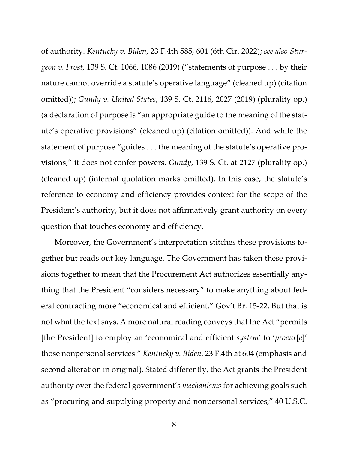of authority. *Kentucky v. Biden*, 23 F.4th 585, 604 (6th Cir. 2022); *see also Sturgeon v. Frost*, 139 S. Ct. 1066, 1086 (2019) ("statements of purpose . . . by their nature cannot override a statute's operative language" (cleaned up) (citation omitted)); *Gundy v. United States*, 139 S. Ct. 2116, 2027 (2019) (plurality op.) (a declaration of purpose is "an appropriate guide to the meaning of the statute's operative provisions" (cleaned up) (citation omitted)). And while the statement of purpose "guides . . . the meaning of the statute's operative provisions," it does not confer powers. *Gundy*, 139 S. Ct. at 2127 (plurality op.) (cleaned up) (internal quotation marks omitted). In this case, the statute's reference to economy and efficiency provides context for the scope of the President's authority, but it does not affirmatively grant authority on every question that touches economy and efficiency.

Moreover, the Government's interpretation stitches these provisions together but reads out key language. The Government has taken these provisions together to mean that the Procurement Act authorizes essentially anything that the President "considers necessary" to make anything about federal contracting more "economical and efficient." Gov't Br. 15-22. But that is not what the text says. A more natural reading conveys that the Act "permits [the President] to employ an 'economical and efficient *system*' to '*procur*[*e*]' those nonpersonal services." *Kentucky v. Biden*, 23 F.4th at 604 (emphasis and second alteration in original). Stated differently, the Act grants the President authority over the federal government's *mechanisms* for achieving goals such as "procuring and supplying property and nonpersonal services," 40 U.S.C.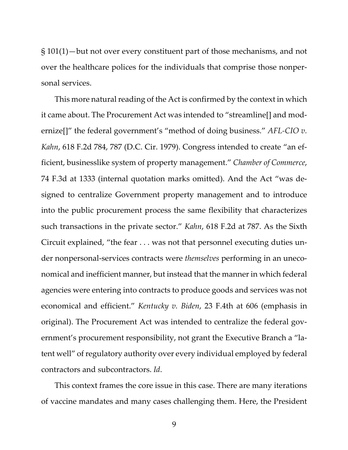§ 101(1)—but not over every constituent part of those mechanisms, and not over the healthcare polices for the individuals that comprise those nonpersonal services.

This more natural reading of the Act is confirmed by the context in which it came about. The Procurement Act was intended to "streamline[] and modernize[]" the federal government's "method of doing business." *AFL-CIO v. Kahn*, 618 F.2d 784, 787 (D.C. Cir. 1979). Congress intended to create "an efficient, businesslike system of property management." *Chamber of Commerce*, 74 F.3d at 1333 (internal quotation marks omitted). And the Act "was designed to centralize Government property management and to introduce into the public procurement process the same flexibility that characterizes such transactions in the private sector." *Kahn*, 618 F.2d at 787. As the Sixth Circuit explained, "the fear . . . was not that personnel executing duties under nonpersonal-services contracts were *themselves* performing in an uneconomical and inefficient manner, but instead that the manner in which federal agencies were entering into contracts to produce goods and services was not economical and efficient." *Kentucky v. Biden*, 23 F.4th at 606 (emphasis in original). The Procurement Act was intended to centralize the federal government's procurement responsibility, not grant the Executive Branch a "latent well" of regulatory authority over every individual employed by federal contractors and subcontractors. *Id*.

This context frames the core issue in this case. There are many iterations of vaccine mandates and many cases challenging them. Here, the President

9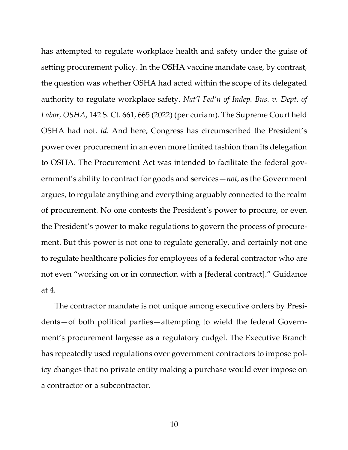has attempted to regulate workplace health and safety under the guise of setting procurement policy. In the OSHA vaccine mandate case, by contrast, the question was whether OSHA had acted within the scope of its delegated authority to regulate workplace safety. *Nat'l Fed'n of Indep. Bus. v. Dept. of Labor, OSHA*, 142 S. Ct. 661, 665 (2022) (per curiam). The Supreme Court held OSHA had not. *Id.* And here, Congress has circumscribed the President's power over procurement in an even more limited fashion than its delegation to OSHA. The Procurement Act was intended to facilitate the federal government's ability to contract for goods and services—*not*, as the Government argues, to regulate anything and everything arguably connected to the realm of procurement. No one contests the President's power to procure, or even the President's power to make regulations to govern the process of procurement. But this power is not one to regulate generally, and certainly not one to regulate healthcare policies for employees of a federal contractor who are not even "working on or in connection with a [federal contract]." Guidance at 4.

The contractor mandate is not unique among executive orders by Presidents—of both political parties—attempting to wield the federal Government's procurement largesse as a regulatory cudgel. The Executive Branch has repeatedly used regulations over government contractors to impose policy changes that no private entity making a purchase would ever impose on a contractor or a subcontractor.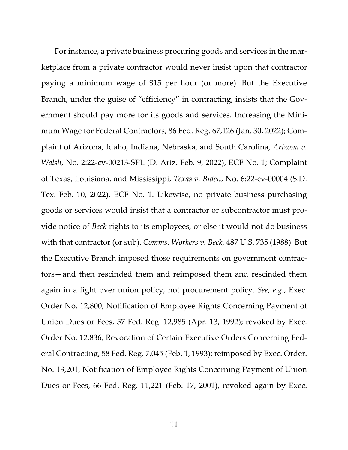For instance, a private business procuring goods and services in the marketplace from a private contractor would never insist upon that contractor paying a minimum wage of \$15 per hour (or more). But the Executive Branch, under the guise of "efficiency" in contracting, insists that the Government should pay more for its goods and services. Increasing the Minimum Wage for Federal Contractors, 86 Fed. Reg. 67,126 (Jan. 30, 2022); Complaint of Arizona, Idaho, Indiana, Nebraska, and South Carolina, *Arizona v. Walsh*, No. 2:22-cv-00213-SPL (D. Ariz. Feb. 9, 2022), ECF No. 1; Complaint of Texas, Louisiana, and Mississippi, *Texas v. Biden*, No. 6:22-cv-00004 (S.D. Tex. Feb. 10, 2022), ECF No. 1. Likewise, no private business purchasing goods or services would insist that a contractor or subcontractor must provide notice of *Beck* rights to its employees, or else it would not do business with that contractor (or sub). *Comms. Workers v. Beck*, 487 U.S. 735 (1988). But the Executive Branch imposed those requirements on government contractors—and then rescinded them and reimposed them and rescinded them again in a fight over union policy, not procurement policy. *See, e.g.*, Exec. Order No. 12,800, Notification of Employee Rights Concerning Payment of Union Dues or Fees, 57 Fed. Reg. 12,985 (Apr. 13, 1992); revoked by Exec. Order No. 12,836, Revocation of Certain Executive Orders Concerning Federal Contracting, 58 Fed. Reg. 7,045 (Feb. 1, 1993); reimposed by Exec. Order. No. 13,201, Notification of Employee Rights Concerning Payment of Union Dues or Fees, 66 Fed. Reg. 11,221 (Feb. 17, 2001), revoked again by Exec.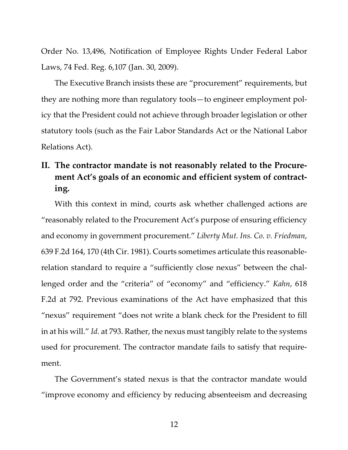Order No. 13,496, Notification of Employee Rights Under Federal Labor Laws, 74 Fed. Reg. 6,107 (Jan. 30, 2009).

The Executive Branch insists these are "procurement" requirements, but they are nothing more than regulatory tools—to engineer employment policy that the President could not achieve through broader legislation or other statutory tools (such as the Fair Labor Standards Act or the National Labor Relations Act).

# **II. The contractor mandate is not reasonably related to the Procurement Act's goals of an economic and efficient system of contracting.**

With this context in mind, courts ask whether challenged actions are "reasonably related to the Procurement Act's purpose of ensuring efficiency and economy in government procurement." *Liberty Mut. Ins. Co. v. Friedman*, 639 F.2d 164, 170 (4th Cir. 1981). Courts sometimes articulate this reasonablerelation standard to require a "sufficiently close nexus" between the challenged order and the "criteria" of "economy" and "efficiency." *Kahn*, 618 F.2d at 792. Previous examinations of the Act have emphasized that this "nexus" requirement "does not write a blank check for the President to fill in at his will." *Id.* at 793. Rather, the nexus must tangibly relate to the systems used for procurement. The contractor mandate fails to satisfy that requirement.

The Government's stated nexus is that the contractor mandate would "improve economy and efficiency by reducing absenteeism and decreasing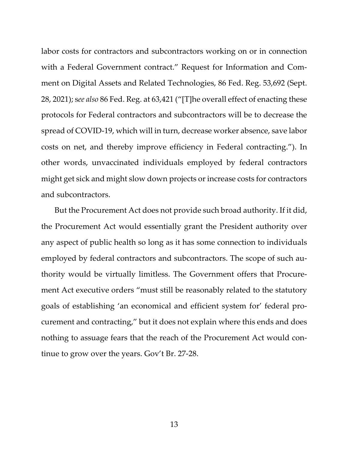labor costs for contractors and subcontractors working on or in connection with a Federal Government contract." Request for Information and Comment on Digital Assets and Related Technologies, 86 Fed. Reg. 53,692 (Sept. 28, 2021); s*ee also* 86 Fed. Reg. at 63,421 ("[T]he overall effect of enacting these protocols for Federal contractors and subcontractors will be to decrease the spread of COVID-19, which will in turn, decrease worker absence, save labor costs on net, and thereby improve efficiency in Federal contracting."). In other words, unvaccinated individuals employed by federal contractors might get sick and might slow down projects or increase costs for contractors and subcontractors.

But the Procurement Act does not provide such broad authority. If it did, the Procurement Act would essentially grant the President authority over any aspect of public health so long as it has some connection to individuals employed by federal contractors and subcontractors. The scope of such authority would be virtually limitless. The Government offers that Procurement Act executive orders "must still be reasonably related to the statutory goals of establishing 'an economical and efficient system for' federal procurement and contracting," but it does not explain where this ends and does nothing to assuage fears that the reach of the Procurement Act would continue to grow over the years. Gov't Br. 27-28.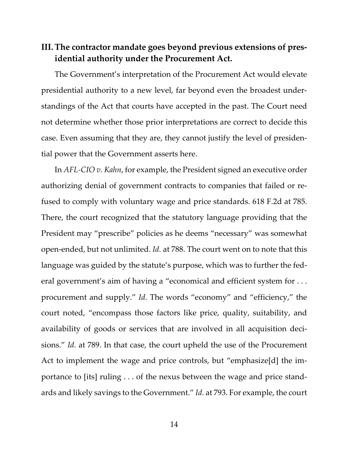# **III.The contractor mandate goes beyond previous extensions of presidential authority under the Procurement Act.**

The Government's interpretation of the Procurement Act would elevate presidential authority to a new level, far beyond even the broadest understandings of the Act that courts have accepted in the past. The Court need not determine whether those prior interpretations are correct to decide this case. Even assuming that they are, they cannot justify the level of presidential power that the Government asserts here.

In *AFL-CIO v. Kahn*, for example, the President signed an executive order authorizing denial of government contracts to companies that failed or refused to comply with voluntary wage and price standards. 618 F.2d at 785. There, the court recognized that the statutory language providing that the President may "prescribe" policies as he deems "necessary" was somewhat open-ended, but not unlimited. *Id.* at 788. The court went on to note that this language was guided by the statute's purpose, which was to further the federal government's aim of having a "economical and efficient system for . . . procurement and supply." *Id.* The words "economy" and "efficiency," the court noted, "encompass those factors like price, quality, suitability, and availability of goods or services that are involved in all acquisition decisions." *Id.* at 789. In that case, the court upheld the use of the Procurement Act to implement the wage and price controls, but "emphasize[d] the importance to [its] ruling . . . of the nexus between the wage and price standards and likely savings to the Government." *Id.* at 793. For example, the court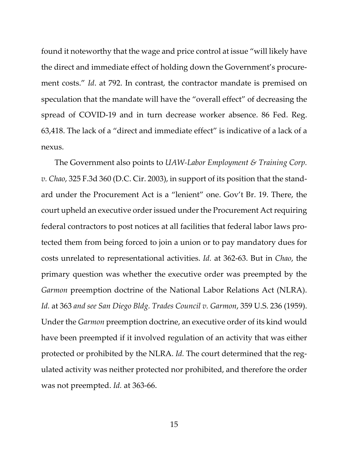found it noteworthy that the wage and price control at issue "will likely have the direct and immediate effect of holding down the Government's procurement costs." *Id*. at 792. In contrast, the contractor mandate is premised on speculation that the mandate will have the "overall effect" of decreasing the spread of COVID-19 and in turn decrease worker absence. 86 Fed. Reg. 63,418. The lack of a "direct and immediate effect" is indicative of a lack of a nexus.

The Government also points to *UAW-Labor Employment & Training Corp. v. Chao*, 325 F.3d 360 (D.C. Cir. 2003), in support of its position that the standard under the Procurement Act is a "lenient" one. Gov't Br. 19. There, the court upheld an executive order issued under the Procurement Act requiring federal contractors to post notices at all facilities that federal labor laws protected them from being forced to join a union or to pay mandatory dues for costs unrelated to representational activities. *Id.* at 362-63. But in *Chao*, the primary question was whether the executive order was preempted by the *Garmon* preemption doctrine of the National Labor Relations Act (NLRA). *Id.* at 363 *and see San Diego Bldg. Trades Council v. Garmon*, 359 U.S. 236 (1959). Under the *Garmon* preemption doctrine, an executive order of its kind would have been preempted if it involved regulation of an activity that was either protected or prohibited by the NLRA. *Id.* The court determined that the regulated activity was neither protected nor prohibited, and therefore the order was not preempted. *Id.* at 363-66.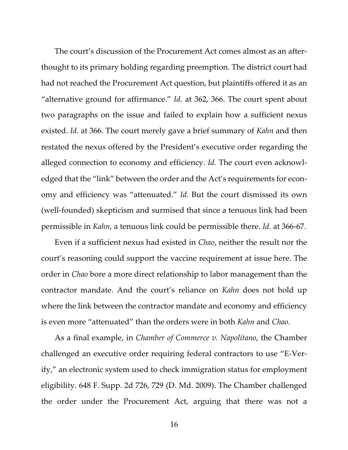The court's discussion of the Procurement Act comes almost as an afterthought to its primary holding regarding preemption. The district court had had not reached the Procurement Act question, but plaintiffs offered it as an "alternative ground for affirmance." *Id.* at 362, 366. The court spent about two paragraphs on the issue and failed to explain how a sufficient nexus existed. *Id.* at 366. The court merely gave a brief summary of *Kahn* and then restated the nexus offered by the President's executive order regarding the alleged connection to economy and efficiency. *Id.* The court even acknowledged that the "link" between the order and the Act's requirements for economy and efficiency was "attenuated." *Id.* But the court dismissed its own (well-founded) skepticism and surmised that since a tenuous link had been permissible in *Kahn*, a tenuous link could be permissible there. *Id.* at 366-67.

Even if a sufficient nexus had existed in *Chao*, neither the result nor the court's reasoning could support the vaccine requirement at issue here. The order in *Chao* bore a more direct relationship to labor management than the contractor mandate. And the court's reliance on *Kahn* does not hold up where the link between the contractor mandate and economy and efficiency is even more "attenuated" than the orders were in both *Kahn* and *Chao*.

As a final example, in *Chamber of Commerce v. Napolitano*, the Chamber challenged an executive order requiring federal contractors to use "E-Verify," an electronic system used to check immigration status for employment eligibility. 648 F. Supp. 2d 726, 729 (D. Md. 2009). The Chamber challenged the order under the Procurement Act, arguing that there was not a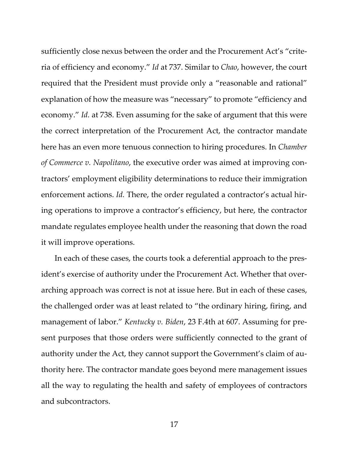sufficiently close nexus between the order and the Procurement Act's "criteria of efficiency and economy." *Id* at 737. Similar to *Chao*, however, the court required that the President must provide only a "reasonable and rational" explanation of how the measure was "necessary" to promote "efficiency and economy." *Id.* at 738. Even assuming for the sake of argument that this were the correct interpretation of the Procurement Act, the contractor mandate here has an even more tenuous connection to hiring procedures. In *Chamber of Commerce v. Napolitano*, the executive order was aimed at improving contractors' employment eligibility determinations to reduce their immigration enforcement actions. *Id.* There, the order regulated a contractor's actual hiring operations to improve a contractor's efficiency, but here, the contractor mandate regulates employee health under the reasoning that down the road it will improve operations.

In each of these cases, the courts took a deferential approach to the president's exercise of authority under the Procurement Act. Whether that overarching approach was correct is not at issue here. But in each of these cases, the challenged order was at least related to "the ordinary hiring, firing, and management of labor." *Kentucky v. Biden*, 23 F.4th at 607. Assuming for present purposes that those orders were sufficiently connected to the grant of authority under the Act, they cannot support the Government's claim of authority here. The contractor mandate goes beyond mere management issues all the way to regulating the health and safety of employees of contractors and subcontractors.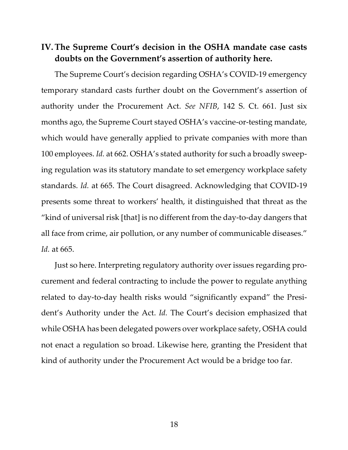## **IV.The Supreme Court's decision in the OSHA mandate case casts doubts on the Government's assertion of authority here.**

The Supreme Court's decision regarding OSHA's COVID-19 emergency temporary standard casts further doubt on the Government's assertion of authority under the Procurement Act. *See NFIB*, 142 S. Ct. 661. Just six months ago, the Supreme Court stayed OSHA's vaccine-or-testing mandate, which would have generally applied to private companies with more than 100 employees. *Id.* at 662. OSHA's stated authority for such a broadly sweeping regulation was its statutory mandate to set emergency workplace safety standards. *Id.* at 665. The Court disagreed. Acknowledging that COVID-19 presents some threat to workers' health, it distinguished that threat as the "kind of universal risk [that] is no different from the day-to-day dangers that all face from crime, air pollution, or any number of communicable diseases." *Id.* at 665.

Just so here. Interpreting regulatory authority over issues regarding procurement and federal contracting to include the power to regulate anything related to day-to-day health risks would "significantly expand" the President's Authority under the Act. *Id.* The Court's decision emphasized that while OSHA has been delegated powers over workplace safety, OSHA could not enact a regulation so broad. Likewise here, granting the President that kind of authority under the Procurement Act would be a bridge too far.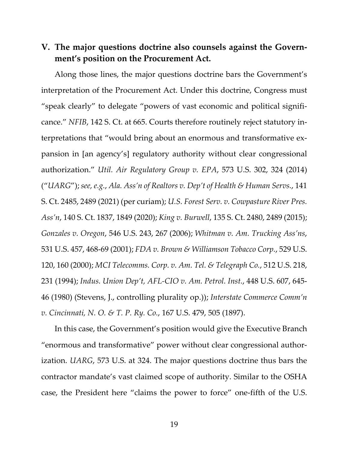## **V. The major questions doctrine also counsels against the Government's position on the Procurement Act.**

Along those lines, the major questions doctrine bars the Government's interpretation of the Procurement Act. Under this doctrine, Congress must "speak clearly" to delegate "powers of vast economic and political significance." *NFIB*, 142 S. Ct. at 665. Courts therefore routinely reject statutory interpretations that "would bring about an enormous and transformative expansion in [an agency's] regulatory authority without clear congressional authorization." *Util. Air Regulatory Group v. EPA*, 573 U.S. 302, 324 (2014) ("*UARG*"); *see, e.g.*, *Ala. Ass'n of Realtors v. Dep't of Health & Human Servs.*, 141 S. Ct. 2485, 2489 (2021) (per curiam); *U.S. Forest Serv. v. Cowpasture River Pres. Ass'n*, 140 S. Ct. 1837, 1849 (2020); *King v. Burwell*, 135 S. Ct. 2480, 2489 (2015); *Gonzales v. Oregon*, 546 U.S. 243, 267 (2006); *Whitman v. Am. Trucking Ass'ns*, 531 U.S. 457, 468-69 (2001); *FDA v. Brown & Williamson Tobacco Corp.*, 529 U.S. 120, 160 (2000); *MCI Telecomms. Corp. v. Am. Tel. & Telegraph Co.*, 512 U.S. 218, 231 (1994); *Indus. Union Dep't, AFL-CIO v. Am. Petrol. Inst.*, 448 U.S. 607, 645- 46 (1980) (Stevens, J., controlling plurality op.)); *Interstate Commerce Comm'n v. Cincinnati, N. O. & T. P. Ry. Co.*, 167 U.S. 479, 505 (1897).

In this case, the Government's position would give the Executive Branch "enormous and transformative" power without clear congressional authorization. *UARG*, 573 U.S. at 324. The major questions doctrine thus bars the contractor mandate's vast claimed scope of authority. Similar to the OSHA case, the President here "claims the power to force" one-fifth of the U.S.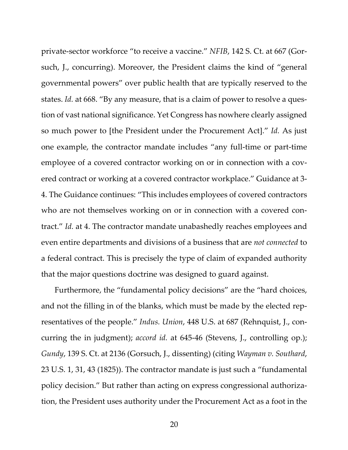private-sector workforce "to receive a vaccine." *NFIB*, 142 S. Ct. at 667 (Gorsuch, J., concurring). Moreover, the President claims the kind of "general governmental powers" over public health that are typically reserved to the states. *Id.* at 668. "By any measure, that is a claim of power to resolve a question of vast national significance. Yet Congress has nowhere clearly assigned so much power to [the President under the Procurement Act]." *Id.* As just one example, the contractor mandate includes "any full-time or part-time employee of a covered contractor working on or in connection with a covered contract or working at a covered contractor workplace." Guidance at 3- 4. The Guidance continues: "This includes employees of covered contractors who are not themselves working on or in connection with a covered contract." *Id.* at 4. The contractor mandate unabashedly reaches employees and even entire departments and divisions of a business that are *not connected* to a federal contract. This is precisely the type of claim of expanded authority that the major questions doctrine was designed to guard against.

Furthermore, the "fundamental policy decisions" are the "hard choices, and not the filling in of the blanks, which must be made by the elected representatives of the people." *Indus. Union*, 448 U.S. at 687 (Rehnquist, J., concurring the in judgment); *accord id.* at 645-46 (Stevens, J., controlling op.); *Gundy*, 139 S. Ct. at 2136 (Gorsuch, J., dissenting) (citing *Wayman v. Southard*, 23 U.S. 1, 31, 43 (1825)). The contractor mandate is just such a "fundamental policy decision." But rather than acting on express congressional authorization, the President uses authority under the Procurement Act as a foot in the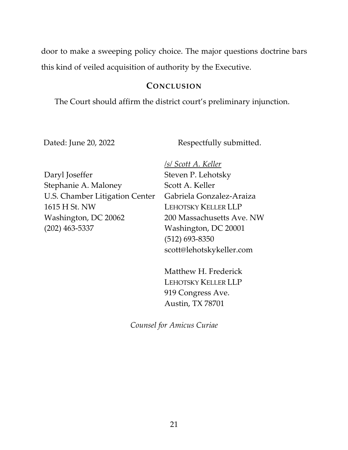door to make a sweeping policy choice. The major questions doctrine bars this kind of veiled acquisition of authority by the Executive.

### **CONCLUSION**

The Court should affirm the district court's preliminary injunction.

Dated: June 20, 2022

Respectfully submitted.

Daryl Joseffer Stephanie A. Maloney U.S. Chamber Litigation Center 1615 H St. NW Washington, DC 20062 (202) 463-5337

*/s/ Scott A. Keller* Steven P. Lehotsky Scott A. Keller Gabriela Gonzalez-Araiza LEHOTSKY KELLER LLP 200 Massachusetts Ave. NW Washington, DC 20001 (512) 693-8350 scott@lehotskykeller.com

Matthew H. Frederick LEHOTSKY KELLER LLP 919 Congress Ave. Austin, TX 78701

*Counsel for Amicus Curiae*